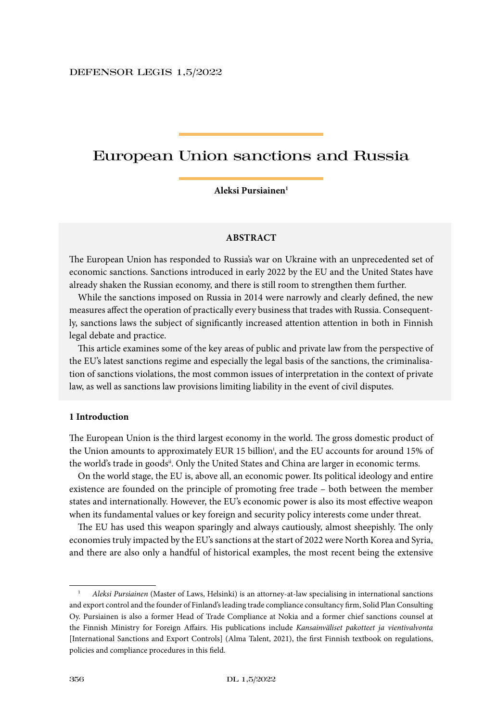# European Union sanctions and Russia

#### **Aleksi Pursiainen1**

## **ABSTRACT**

The European Union has responded to Russia's war on Ukraine with an unprecedented set of economic sanctions. Sanctions introduced in early 2022 by the EU and the United States have already shaken the Russian economy, and there is still room to strengthen them further.

While the sanctions imposed on Russia in 2014 were narrowly and clearly defined, the new measures affect the operation of practically every business that trades with Russia. Consequently, sanctions laws the subject of significantly increased attention attention in both in Finnish legal debate and practice.

This article examines some of the key areas of public and private law from the perspective of the EU's latest sanctions regime and especially the legal basis of the sanctions, the criminalisation of sanctions violations, the most common issues of interpretation in the context of private law, as well as sanctions law provisions limiting liability in the event of civil disputes.

#### **1 Introduction**

The European Union is the third largest economy in the world. The gross domestic product of the Union amounts to approximately EUR 15 billioni , and the EU accounts for around 15% of the world's trade in goods<sup>ii</sup>. Only the United States and China are larger in economic terms.

On the world stage, the EU is, above all, an economic power. Its political ideology and entire existence are founded on the principle of promoting free trade – both between the member states and internationally. However, the EU's economic power is also its most effective weapon when its fundamental values or key foreign and security policy interests come under threat.

The EU has used this weapon sparingly and always cautiously, almost sheepishly. The only economies truly impacted by the EU's sanctions at the start of 2022 were North Korea and Syria, and there are also only a handful of historical examples, the most recent being the extensive

<sup>1</sup> *Aleksi Pursiainen* (Master of Laws, Helsinki) is an attorney-at-law specialising in international sanctions and export control and the founder of Finland's leading trade compliance consultancy firm, Solid Plan Consulting Oy. Pursiainen is also a former Head of Trade Compliance at Nokia and a former chief sanctions counsel at the Finnish Ministry for Foreign Affairs. His publications include *Kansainväliset pakotteet ja vientivalvonta* [International Sanctions and Export Controls] (Alma Talent, 2021), the first Finnish textbook on regulations, policies and compliance procedures in this field.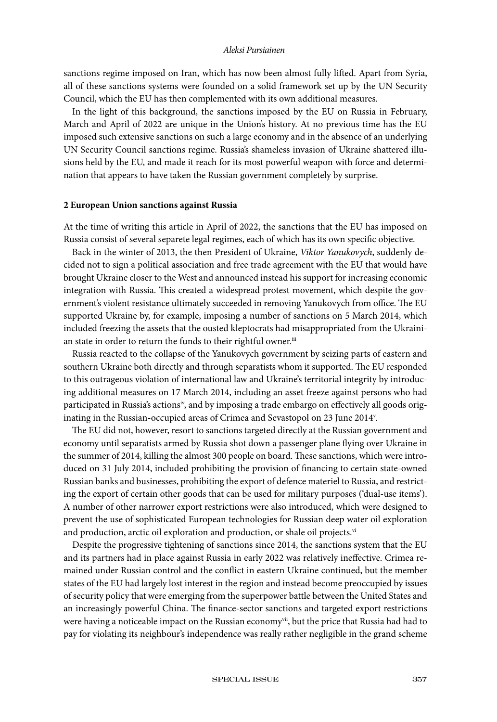sanctions regime imposed on Iran, which has now been almost fully lifted. Apart from Syria, all of these sanctions systems were founded on a solid framework set up by the UN Security Council, which the EU has then complemented with its own additional measures.

In the light of this background, the sanctions imposed by the EU on Russia in February, March and April of 2022 are unique in the Union's history. At no previous time has the EU imposed such extensive sanctions on such a large economy and in the absence of an underlying UN Security Council sanctions regime. Russia's shameless invasion of Ukraine shattered illusions held by the EU, and made it reach for its most powerful weapon with force and determination that appears to have taken the Russian government completely by surprise.

### **2 European Union sanctions against Russia**

At the time of writing this article in April of 2022, the sanctions that the EU has imposed on Russia consist of several separete legal regimes, each of which has its own specific objective.

Back in the winter of 2013, the then President of Ukraine, *Viktor Yanukovych*, suddenly decided not to sign a political association and free trade agreement with the EU that would have brought Ukraine closer to the West and announced instead his support for increasing economic integration with Russia. This created a widespread protest movement, which despite the government's violent resistance ultimately succeeded in removing Yanukovych from office. The EU supported Ukraine by, for example, imposing a number of sanctions on 5 March 2014, which included freezing the assets that the ousted kleptocrats had misappropriated from the Ukrainian state in order to return the funds to their rightful owner.iii

Russia reacted to the collapse of the Yanukovych government by seizing parts of eastern and southern Ukraine both directly and through separatists whom it supported. The EU responded to this outrageous violation of international law and Ukraine's territorial integrity by introducing additional measures on 17 March 2014, including an asset freeze against persons who had participated in Russia's actionsiv, and by imposing a trade embargo on effectively all goods originating in the Russian-occupied areas of Crimea and Sevastopol on 23 June 2014v .

The EU did not, however, resort to sanctions targeted directly at the Russian government and economy until separatists armed by Russia shot down a passenger plane flying over Ukraine in the summer of 2014, killing the almost 300 people on board. These sanctions, which were introduced on 31 July 2014, included prohibiting the provision of financing to certain state-owned Russian banks and businesses, prohibiting the export of defence materiel to Russia, and restricting the export of certain other goods that can be used for military purposes ('dual-use items'). A number of other narrower export restrictions were also introduced, which were designed to prevent the use of sophisticated European technologies for Russian deep water oil exploration and production, arctic oil exploration and production, or shale oil projects.<sup>vi</sup>

Despite the progressive tightening of sanctions since 2014, the sanctions system that the EU and its partners had in place against Russia in early 2022 was relatively ineffective. Crimea remained under Russian control and the conflict in eastern Ukraine continued, but the member states of the EU had largely lost interest in the region and instead become preoccupied by issues of security policy that were emerging from the superpower battle between the United States and an increasingly powerful China. The finance-sector sanctions and targeted export restrictions were having a noticeable impact on the Russian economy<sup>vii</sup>, but the price that Russia had had to pay for violating its neighbour's independence was really rather negligible in the grand scheme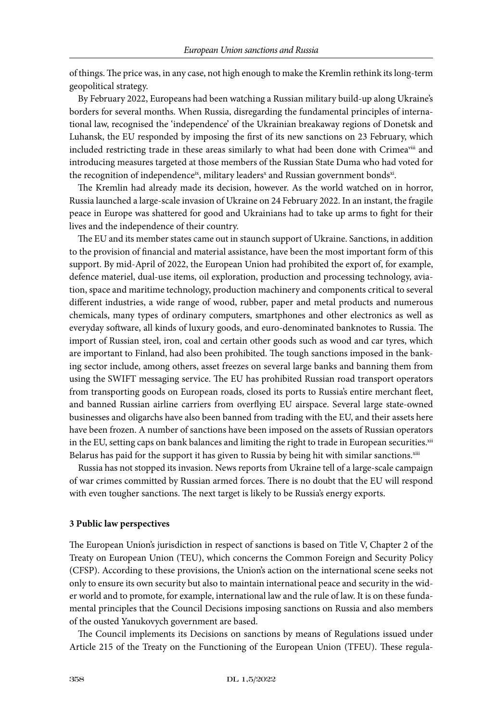of things. The price was, in any case, not high enough to make the Kremlin rethink its long-term geopolitical strategy.

By February 2022, Europeans had been watching a Russian military build-up along Ukraine's borders for several months. When Russia, disregarding the fundamental principles of international law, recognised the 'independence' of the Ukrainian breakaway regions of Donetsk and Luhansk, the EU responded by imposing the first of its new sanctions on 23 February, which included restricting trade in these areas similarly to what had been done with Crimea<sup>viii</sup> and introducing measures targeted at those members of the Russian State Duma who had voted for the recognition of independence $^{\text{ix}}$ , military leaders $^{\text{x}}$  and Russian government bonds $^{\text{xi}}$ .

The Kremlin had already made its decision, however. As the world watched on in horror, Russia launched a large-scale invasion of Ukraine on 24 February 2022. In an instant, the fragile peace in Europe was shattered for good and Ukrainians had to take up arms to fight for their lives and the independence of their country.

The EU and its member states came out in staunch support of Ukraine. Sanctions, in addition to the provision of financial and material assistance, have been the most important form of this support. By mid-April of 2022, the European Union had prohibited the export of, for example, defence materiel, dual-use items, oil exploration, production and processing technology, aviation, space and maritime technology, production machinery and components critical to several different industries, a wide range of wood, rubber, paper and metal products and numerous chemicals, many types of ordinary computers, smartphones and other electronics as well as everyday software, all kinds of luxury goods, and euro-denominated banknotes to Russia. The import of Russian steel, iron, coal and certain other goods such as wood and car tyres, which are important to Finland, had also been prohibited. The tough sanctions imposed in the banking sector include, among others, asset freezes on several large banks and banning them from using the SWIFT messaging service. The EU has prohibited Russian road transport operators from transporting goods on European roads, closed its ports to Russia's entire merchant fleet, and banned Russian airline carriers from overflying EU airspace. Several large state-owned businesses and oligarchs have also been banned from trading with the EU, and their assets here have been frozen. A number of sanctions have been imposed on the assets of Russian operators in the EU, setting caps on bank balances and limiting the right to trade in European securities.<sup>xii</sup> Belarus has paid for the support it has given to Russia by being hit with similar sanctions.<sup>xiii</sup>

Russia has not stopped its invasion. News reports from Ukraine tell of a large-scale campaign of war crimes committed by Russian armed forces. There is no doubt that the EU will respond with even tougher sanctions. The next target is likely to be Russia's energy exports.

## **3 Public law perspectives**

The European Union's jurisdiction in respect of sanctions is based on Title V, Chapter 2 of the Treaty on European Union (TEU), which concerns the Common Foreign and Security Policy (CFSP). According to these provisions, the Union's action on the international scene seeks not only to ensure its own security but also to maintain international peace and security in the wider world and to promote, for example, international law and the rule of law. It is on these fundamental principles that the Council Decisions imposing sanctions on Russia and also members of the ousted Yanukovych government are based.

The Council implements its Decisions on sanctions by means of Regulations issued under Article 215 of the Treaty on the Functioning of the European Union (TFEU). These regula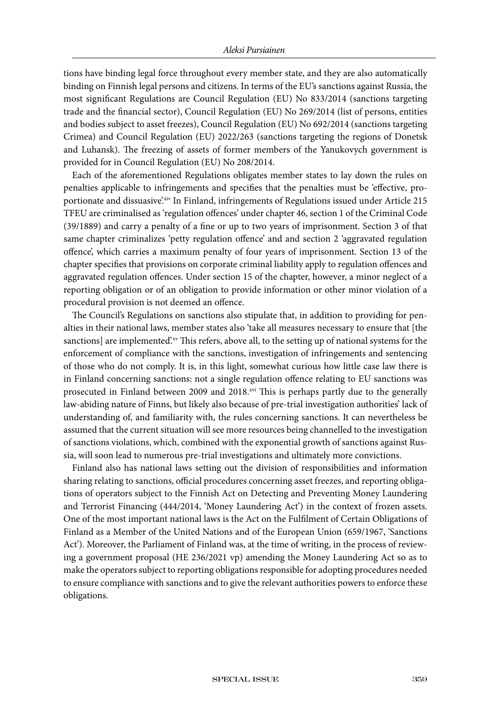tions have binding legal force throughout every member state, and they are also automatically binding on Finnish legal persons and citizens. In terms of the EU's sanctions against Russia, the most significant Regulations are Council Regulation (EU) No 833/2014 (sanctions targeting trade and the financial sector), Council Regulation (EU) No 269/2014 (list of persons, entities and bodies subject to asset freezes), Council Regulation (EU) No 692/2014 (sanctions targeting Crimea) and Council Regulation (EU) 2022/263 (sanctions targeting the regions of Donetsk and Luhansk). The freezing of assets of former members of the Yanukovych government is provided for in Council Regulation (EU) No 208/2014.

Each of the aforementioned Regulations obligates member states to lay down the rules on penalties applicable to infringements and specifies that the penalties must be 'effective, proportionate and dissuasive'.xiv In Finland, infringements of Regulations issued under Article 215 TFEU are criminalised as 'regulation offences' under chapter 46, section 1 of the Criminal Code (39/1889) and carry a penalty of a fine or up to two years of imprisonment. Section 3 of that same chapter criminalizes 'petty regulation offence' and and section 2 'aggravated regulation offence', which carries a maximum penalty of four years of imprisonment. Section 13 of the chapter specifies that provisions on corporate criminal liability apply to regulation offences and aggravated regulation offences. Under section 15 of the chapter, however, a minor neglect of a reporting obligation or of an obligation to provide information or other minor violation of a procedural provision is not deemed an offence.

The Council's Regulations on sanctions also stipulate that, in addition to providing for penalties in their national laws, member states also 'take all measures necessary to ensure that [the sanctions] are implemented. This refers, above all, to the setting up of national systems for the enforcement of compliance with the sanctions, investigation of infringements and sentencing of those who do not comply. It is, in this light, somewhat curious how little case law there is in Finland concerning sanctions: not a single regulation offence relating to EU sanctions was prosecuted in Finland between 2009 and 2018.xvi This is perhaps partly due to the generally law-abiding nature of Finns, but likely also because of pre-trial investigation authorities' lack of understanding of, and familiarity with, the rules concerning sanctions. It can nevertheless be assumed that the current situation will see more resources being channelled to the investigation of sanctions violations, which, combined with the exponential growth of sanctions against Russia, will soon lead to numerous pre-trial investigations and ultimately more convictions.

Finland also has national laws setting out the division of responsibilities and information sharing relating to sanctions, official procedures concerning asset freezes, and reporting obligations of operators subject to the Finnish Act on Detecting and Preventing Money Laundering and Terrorist Financing (444/2014, 'Money Laundering Act') in the context of frozen assets. One of the most important national laws is the Act on the Fulfilment of Certain Obligations of Finland as a Member of the United Nations and of the European Union (659/1967, 'Sanctions Act'). Moreover, the Parliament of Finland was, at the time of writing, in the process of reviewing a government proposal (HE 236/2021 vp) amending the Money Laundering Act so as to make the operators subject to reporting obligations responsible for adopting procedures needed to ensure compliance with sanctions and to give the relevant authorities powers to enforce these obligations.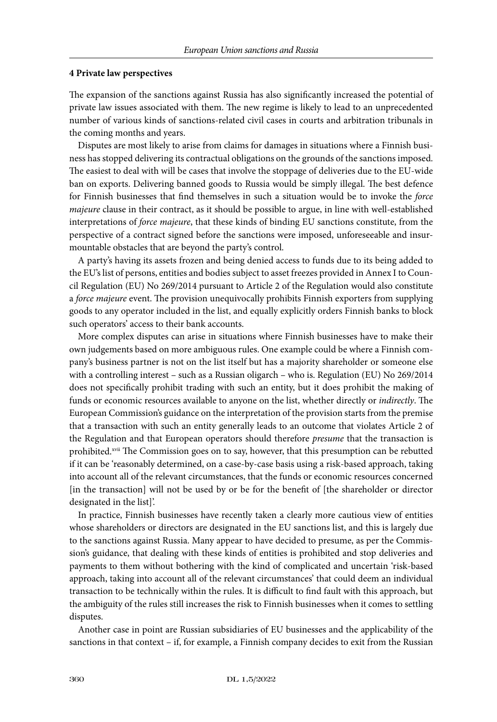#### **4 Private law perspectives**

The expansion of the sanctions against Russia has also significantly increased the potential of private law issues associated with them. The new regime is likely to lead to an unprecedented number of various kinds of sanctions-related civil cases in courts and arbitration tribunals in the coming months and years.

Disputes are most likely to arise from claims for damages in situations where a Finnish business has stopped delivering its contractual obligations on the grounds of the sanctions imposed. The easiest to deal with will be cases that involve the stoppage of deliveries due to the EU-wide ban on exports. Delivering banned goods to Russia would be simply illegal. The best defence for Finnish businesses that find themselves in such a situation would be to invoke the *force majeure* clause in their contract, as it should be possible to argue, in line with well-established interpretations of *force majeure*, that these kinds of binding EU sanctions constitute, from the perspective of a contract signed before the sanctions were imposed, unforeseeable and insurmountable obstacles that are beyond the party's control.

A party's having its assets frozen and being denied access to funds due to its being added to the EU's list of persons, entities and bodies subject to asset freezes provided in Annex I to Council Regulation (EU) No 269/2014 pursuant to Article 2 of the Regulation would also constitute a *force majeure* event. The provision unequivocally prohibits Finnish exporters from supplying goods to any operator included in the list, and equally explicitly orders Finnish banks to block such operators' access to their bank accounts.

More complex disputes can arise in situations where Finnish businesses have to make their own judgements based on more ambiguous rules. One example could be where a Finnish company's business partner is not on the list itself but has a majority shareholder or someone else with a controlling interest – such as a Russian oligarch – who is. Regulation (EU) No 269/2014 does not specifically prohibit trading with such an entity, but it does prohibit the making of funds or economic resources available to anyone on the list, whether directly or *indirectly*. The European Commission's guidance on the interpretation of the provision starts from the premise that a transaction with such an entity generally leads to an outcome that violates Article 2 of the Regulation and that European operators should therefore *presume* that the transaction is prohibited.<sup>xvii</sup> The Commission goes on to say, however, that this presumption can be rebutted if it can be 'reasonably determined, on a case-by-case basis using a risk-based approach, taking into account all of the relevant circumstances, that the funds or economic resources concerned [in the transaction] will not be used by or be for the benefit of [the shareholder or director designated in the list]'.

In practice, Finnish businesses have recently taken a clearly more cautious view of entities whose shareholders or directors are designated in the EU sanctions list, and this is largely due to the sanctions against Russia. Many appear to have decided to presume, as per the Commission's guidance, that dealing with these kinds of entities is prohibited and stop deliveries and payments to them without bothering with the kind of complicated and uncertain 'risk-based approach, taking into account all of the relevant circumstances' that could deem an individual transaction to be technically within the rules. It is difficult to find fault with this approach, but the ambiguity of the rules still increases the risk to Finnish businesses when it comes to settling disputes.

Another case in point are Russian subsidiaries of EU businesses and the applicability of the sanctions in that context – if, for example, a Finnish company decides to exit from the Russian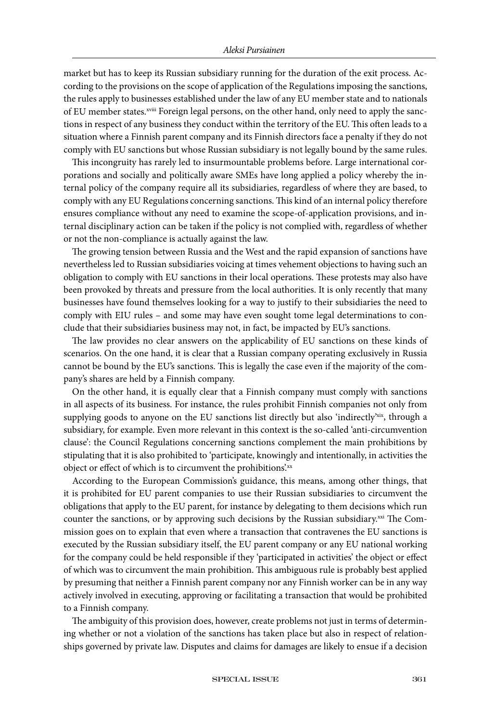market but has to keep its Russian subsidiary running for the duration of the exit process. According to the provisions on the scope of application of the Regulations imposing the sanctions, the rules apply to businesses established under the law of any EU member state and to nationals of EU member states.xviii Foreign legal persons, on the other hand, only need to apply the sanctions in respect of any business they conduct within the territory of the EU. This often leads to a situation where a Finnish parent company and its Finnish directors face a penalty if they do not comply with EU sanctions but whose Russian subsidiary is not legally bound by the same rules.

This incongruity has rarely led to insurmountable problems before. Large international corporations and socially and politically aware SMEs have long applied a policy whereby the internal policy of the company require all its subsidiaries, regardless of where they are based, to comply with any EU Regulations concerning sanctions. This kind of an internal policy therefore ensures compliance without any need to examine the scope-of-application provisions, and internal disciplinary action can be taken if the policy is not complied with, regardless of whether or not the non-compliance is actually against the law.

The growing tension between Russia and the West and the rapid expansion of sanctions have nevertheless led to Russian subsidiaries voicing at times vehement objections to having such an obligation to comply with EU sanctions in their local operations. These protests may also have been provoked by threats and pressure from the local authorities. It is only recently that many businesses have found themselves looking for a way to justify to their subsidiaries the need to comply with EIU rules – and some may have even sought tome legal determinations to conclude that their subsidiaries business may not, in fact, be impacted by EU's sanctions.

The law provides no clear answers on the applicability of EU sanctions on these kinds of scenarios. On the one hand, it is clear that a Russian company operating exclusively in Russia cannot be bound by the EU's sanctions. This is legally the case even if the majority of the company's shares are held by a Finnish company.

On the other hand, it is equally clear that a Finnish company must comply with sanctions in all aspects of its business. For instance, the rules prohibit Finnish companies not only from supplying goods to anyone on the EU sanctions list directly but also 'indirectly $x$ <sup>xix</sup>, through a subsidiary, for example. Even more relevant in this context is the so-called 'anti-circumvention clause': the Council Regulations concerning sanctions complement the main prohibitions by stipulating that it is also prohibited to 'participate, knowingly and intentionally, in activities the object or effect of which is to circumvent the prohibitions'.xx

According to the European Commission's guidance, this means, among other things, that it is prohibited for EU parent companies to use their Russian subsidiaries to circumvent the obligations that apply to the EU parent, for instance by delegating to them decisions which run counter the sanctions, or by approving such decisions by the Russian subsidiary. $x^{xx}$  The Commission goes on to explain that even where a transaction that contravenes the EU sanctions is executed by the Russian subsidiary itself, the EU parent company or any EU national working for the company could be held responsible if they 'participated in activities' the object or effect of which was to circumvent the main prohibition. This ambiguous rule is probably best applied by presuming that neither a Finnish parent company nor any Finnish worker can be in any way actively involved in executing, approving or facilitating a transaction that would be prohibited to a Finnish company.

The ambiguity of this provision does, however, create problems not just in terms of determining whether or not a violation of the sanctions has taken place but also in respect of relationships governed by private law. Disputes and claims for damages are likely to ensue if a decision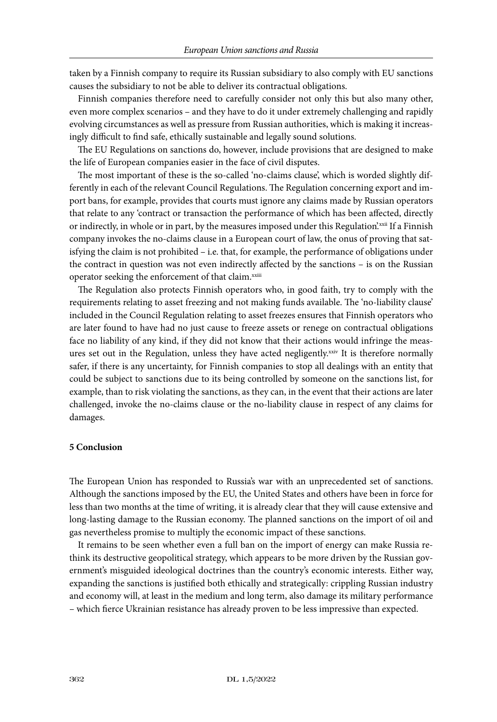taken by a Finnish company to require its Russian subsidiary to also comply with EU sanctions causes the subsidiary to not be able to deliver its contractual obligations.

Finnish companies therefore need to carefully consider not only this but also many other, even more complex scenarios – and they have to do it under extremely challenging and rapidly evolving circumstances as well as pressure from Russian authorities, which is making it increasingly difficult to find safe, ethically sustainable and legally sound solutions.

The EU Regulations on sanctions do, however, include provisions that are designed to make the life of European companies easier in the face of civil disputes.

The most important of these is the so-called 'no-claims clause', which is worded slightly differently in each of the relevant Council Regulations. The Regulation concerning export and import bans, for example, provides that courts must ignore any claims made by Russian operators that relate to any 'contract or transaction the performance of which has been affected, directly or indirectly, in whole or in part, by the measures imposed under this Regulation'.<sup>xxii</sup> If a Finnish company invokes the no-claims clause in a European court of law, the onus of proving that satisfying the claim is not prohibited – i.e. that, for example, the performance of obligations under the contract in question was not even indirectly affected by the sanctions – is on the Russian operator seeking the enforcement of that claim.xxiii

The Regulation also protects Finnish operators who, in good faith, try to comply with the requirements relating to asset freezing and not making funds available. The 'no-liability clause' included in the Council Regulation relating to asset freezes ensures that Finnish operators who are later found to have had no just cause to freeze assets or renege on contractual obligations face no liability of any kind, if they did not know that their actions would infringe the measures set out in the Regulation, unless they have acted negligently.<sup>xxiv</sup> It is therefore normally safer, if there is any uncertainty, for Finnish companies to stop all dealings with an entity that could be subject to sanctions due to its being controlled by someone on the sanctions list, for example, than to risk violating the sanctions, as they can, in the event that their actions are later challenged, invoke the no-claims clause or the no-liability clause in respect of any claims for damages.

## **5 Conclusion**

The European Union has responded to Russia's war with an unprecedented set of sanctions. Although the sanctions imposed by the EU, the United States and others have been in force for less than two months at the time of writing, it is already clear that they will cause extensive and long-lasting damage to the Russian economy. The planned sanctions on the import of oil and gas nevertheless promise to multiply the economic impact of these sanctions.

It remains to be seen whether even a full ban on the import of energy can make Russia rethink its destructive geopolitical strategy, which appears to be more driven by the Russian government's misguided ideological doctrines than the country's economic interests. Either way, expanding the sanctions is justified both ethically and strategically: crippling Russian industry and economy will, at least in the medium and long term, also damage its military performance – which fierce Ukrainian resistance has already proven to be less impressive than expected.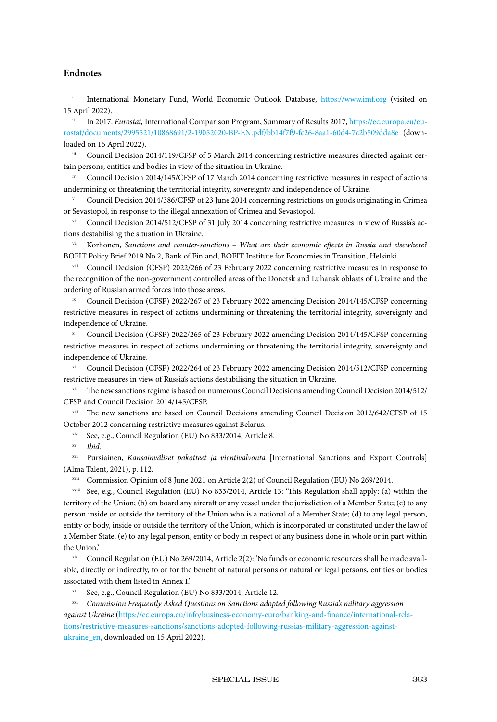### **Endnotes**

International Monetary Fund, World Economic Outlook Database, <https://www.imf.org>(visited on 15 April 2022).

In 2017. *Eurostat, International Comparison Program, Summary of Results 2017, [https://ec.europa.eu/eu](https://ec.europa.eu/eurostat/documents/2995521/10868691/2-19052020-BP-EN.pdf/bb14f7f9-fc26-8aa1-60d4-7c2b509dda8e)*[rostat/documents/2995521/10868691/2-19052020-BP-EN.pdf/bb14f7f9-fc26-8aa1-60d4-7c2b509dda8e](https://ec.europa.eu/eurostat/documents/2995521/10868691/2-19052020-BP-EN.pdf/bb14f7f9-fc26-8aa1-60d4-7c2b509dda8e) (downloaded on 15 April 2022).

Council Decision 2014/119/CFSP of 5 March 2014 concerning restrictive measures directed against certain persons, entities and bodies in view of the situation in Ukraine.

Council Decision 2014/145/CFSP of 17 March 2014 concerning restrictive measures in respect of actions undermining or threatening the territorial integrity, sovereignty and independence of Ukraine.

<sup>v</sup> Council Decision 2014/386/CFSP of 23 June 2014 concerning restrictions on goods originating in Crimea or Sevastopol, in response to the illegal annexation of Crimea and Sevastopol.

Council Decision 2014/512/CFSP of 31 July 2014 concerning restrictive measures in view of Russia's actions destabilising the situation in Ukraine.

Korhonen, *Sanctions and counter-sanctions - What are their economic effects in Russia and elsewhere?* BOFIT Policy Brief 2019 No 2, Bank of Finland, BOFIT Institute for Economies in Transition, Helsinki.

viii Council Decision (CFSP) 2022/266 of 23 February 2022 concerning restrictive measures in response to the recognition of the non-government controlled areas of the Donetsk and Luhansk oblasts of Ukraine and the ordering of Russian armed forces into those areas.

Council Decision (CFSP) 2022/267 of 23 February 2022 amending Decision 2014/145/CFSP concerning restrictive measures in respect of actions undermining or threatening the territorial integrity, sovereignty and independence of Ukraine.

<sup>x</sup> Council Decision (CFSP) 2022/265 of 23 February 2022 amending Decision 2014/145/CFSP concerning restrictive measures in respect of actions undermining or threatening the territorial integrity, sovereignty and independence of Ukraine.

xi Council Decision (CFSP) 2022/264 of 23 February 2022 amending Decision 2014/512/CFSP concerning restrictive measures in view of Russia's actions destabilising the situation in Ukraine.

xii The new sanctions regime is based on numerous Council Decisions amending Council Decision 2014/512/ CFSP and Council Decision 2014/145/CFSP.

xiii The new sanctions are based on Council Decisions amending Council Decision 2012/642/CFSP of 15 October 2012 concerning restrictive measures against Belarus.

xiv See, e.g., Council Regulation (EU) No 833/2014, Article 8.

xv *Ibid.*

xvi Pursiainen, *Kansainväliset pakotteet ja vientivalvonta* [International Sanctions and Export Controls] (Alma Talent, 2021), p. 112.

xvii Commission Opinion of 8 June 2021 on Article 2(2) of Council Regulation (EU) No 269/2014.

xviii See, e.g., Council Regulation (EU) No 833/2014, Article 13: 'This Regulation shall apply: (a) within the territory of the Union; (b) on board any aircraft or any vessel under the jurisdiction of a Member State; (c) to any person inside or outside the territory of the Union who is a national of a Member State; (d) to any legal person, entity or body, inside or outside the territory of the Union, which is incorporated or constituted under the law of a Member State; (e) to any legal person, entity or body in respect of any business done in whole or in part within the Union.'

Council Regulation (EU) No 269/2014, Article 2(2): 'No funds or economic resources shall be made available, directly or indirectly, to or for the benefit of natural persons or natural or legal persons, entities or bodies associated with them listed in Annex I.'

See, e.g., Council Regulation (EU) No 833/2014, Article 12.

xxi *Commission Frequently Asked Questions on Sanctions adopted following Russia's military aggression against Ukraine* [\(https://ec.europa.eu/info/business-economy-euro/banking-and-finance/international-rela](https://ec.europa.eu/info/business-economy-euro/banking-and-finance/international-relations/restrictive-measures-sanctions/sanctions-adopted-following-russias-military-aggression-against-ukraine_en)[tions/restrictive-measures-sanctions/sanctions-adopted-following-russias-military-aggression-against](https://ec.europa.eu/info/business-economy-euro/banking-and-finance/international-relations/restrictive-measures-sanctions/sanctions-adopted-following-russias-military-aggression-against-ukraine_en)[ukraine\\_en,](https://ec.europa.eu/info/business-economy-euro/banking-and-finance/international-relations/restrictive-measures-sanctions/sanctions-adopted-following-russias-military-aggression-against-ukraine_en) downloaded on 15 April 2022).